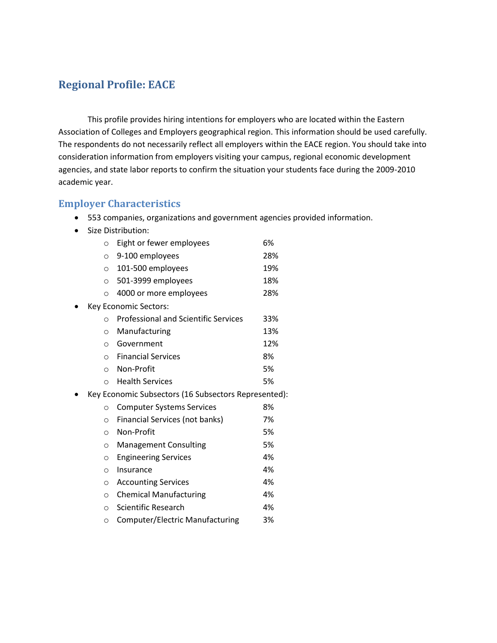#### **Regional Profile: EACE**

This profile provides hiring intentions for employers who are located within the Eastern Association of Colleges and Employers geographical region. This information should be used carefully. The respondents do not necessarily reflect all employers within the EACE region. You should take into consideration information from employers visiting your campus, regional economic development agencies, and state labor reports to confirm the situation your students face during the 2009-2010 academic year.

#### **Employer Characteristics**

- 553 companies, organizations and government agencies provided information.
- Size Distribution:

| $\circ$  | Eight or fewer employees                    | 6%                                                                            |
|----------|---------------------------------------------|-------------------------------------------------------------------------------|
| $\circ$  | 9-100 employees                             | 28%                                                                           |
| $\circ$  | 101-500 employees                           | 19%                                                                           |
| $\circ$  | 501-3999 employees                          | 18%                                                                           |
| O        | 4000 or more employees                      | 28%                                                                           |
|          |                                             |                                                                               |
| $\Omega$ | <b>Professional and Scientific Services</b> | 33%                                                                           |
| $\circ$  | Manufacturing                               | 13%                                                                           |
| $\circ$  | Government                                  | 12%                                                                           |
| $\circ$  | <b>Financial Services</b>                   | 8%                                                                            |
| $\circ$  | Non-Profit                                  | 5%                                                                            |
| $\circ$  | <b>Health Services</b>                      | 5%                                                                            |
|          |                                             |                                                                               |
| $\circ$  | <b>Computer Systems Services</b>            | 8%                                                                            |
| $\circ$  | Financial Services (not banks)              | 7%                                                                            |
| $\circ$  | Non-Profit                                  | 5%                                                                            |
| $\circ$  | <b>Management Consulting</b>                | 5%                                                                            |
| $\circ$  | <b>Engineering Services</b>                 | 4%                                                                            |
| $\circ$  | Insurance                                   | 4%                                                                            |
| $\circ$  | <b>Accounting Services</b>                  | 4%                                                                            |
| $\circ$  | <b>Chemical Manufacturing</b>               | 4%                                                                            |
| O        | Scientific Research                         | 4%                                                                            |
| O        | Computer/Electric Manufacturing             | 3%                                                                            |
|          |                                             | Key Economic Sectors:<br>Key Economic Subsectors (16 Subsectors Represented): |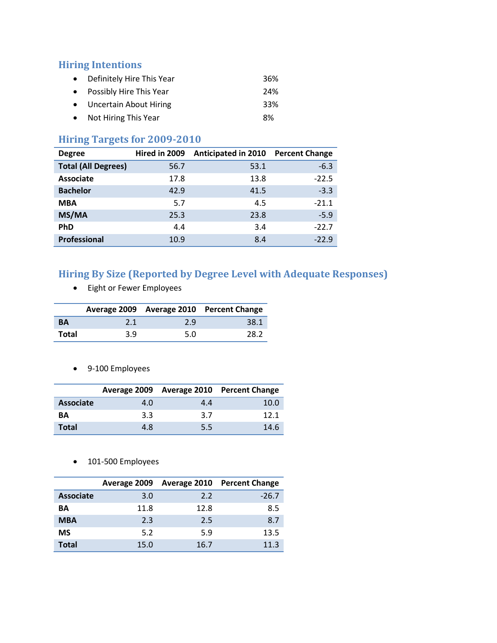#### **Hiring Intentions**

- Definitely Hire This Year 36% • Possibly Hire This Year 24%
- Uncertain About Hiring 33%
- Not Hiring This Year **8%**

### **Hiring Targets for 2009-2010**

| <b>Degree</b>              | Hired in 2009 | <b>Anticipated in 2010</b> | <b>Percent Change</b> |
|----------------------------|---------------|----------------------------|-----------------------|
| <b>Total (All Degrees)</b> | 56.7          | 53.1                       | $-6.3$                |
| <b>Associate</b>           | 17.8          | 13.8                       | $-22.5$               |
| <b>Bachelor</b>            | 42.9          | 41.5                       | $-3.3$                |
| <b>MBA</b>                 | 5.7           | 4.5                        | $-21.1$               |
| MS/MA                      | 25.3          | 23.8                       | $-5.9$                |
| <b>PhD</b>                 | 4.4           | 3.4                        | $-22.7$               |
| <b>Professional</b>        | 10.9          | 8.4                        | $-22.9$               |

## **Hiring By Size (Reported by Degree Level with Adequate Responses)**

Eight or Fewer Employees

|           |     |     | Average 2009 Average 2010 Percent Change |
|-----------|-----|-----|------------------------------------------|
| <b>BA</b> | 2.1 | 2.9 | 38.1                                     |
| Total     | 3.9 | 5.0 | 28.2                                     |

9-100 Employees

|                  |     |     | Average 2009 Average 2010 Percent Change |
|------------------|-----|-----|------------------------------------------|
| <b>Associate</b> | 4.0 | 4.4 | 10.0                                     |
| <b>BA</b>        | 3.3 | 3.7 | 121                                      |
| <b>Total</b>     | 4.8 | 5.5 | 14.6                                     |

• 101-500 Employees

|                  |      | Average 2009 Average 2010 | <b>Percent Change</b> |
|------------------|------|---------------------------|-----------------------|
| <b>Associate</b> | 3.0  | 2.2                       | $-26.7$               |
| ΒA               | 11.8 | 12.8                      | 8.5                   |
| <b>MBA</b>       | 2.3  | 2.5                       | 8.7                   |
| <b>MS</b>        | 5.2  | 5.9                       | 13.5                  |
| Total            | 15.0 | 16.7                      | 11.3                  |